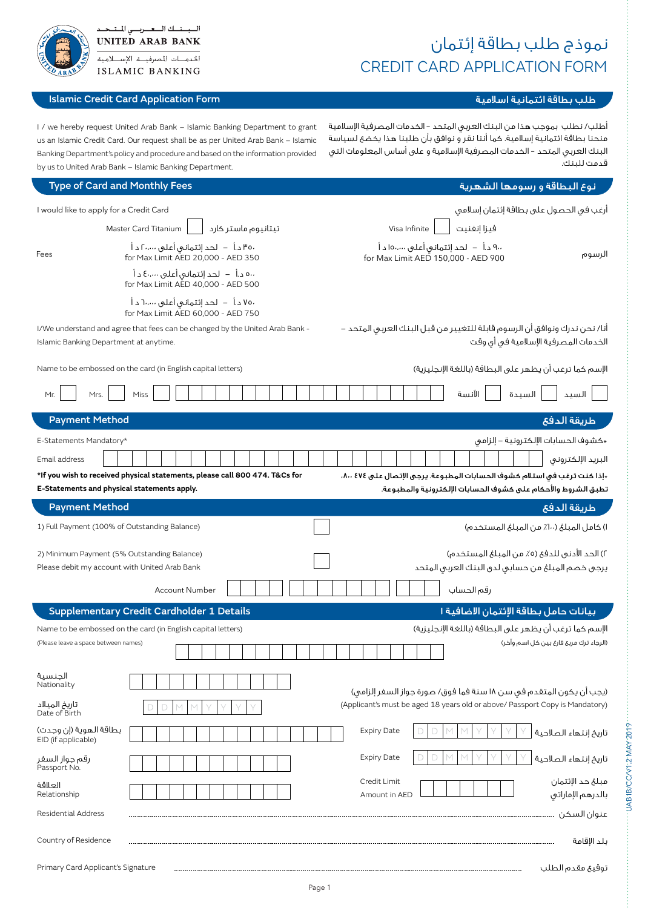# نموذج طلب بطاقة إئتمان CREDIT CARD APPLICATION FORM

Primary Card Applicant's Signature

## طلب بطاقة ائتمانية اسلامية Form بطاقة ائتمانية اسلامية Form Application Form Application Credit Card Application C

السبسنسك السعسريسي المستبحد

الخدمسات المصرفيسة الإستسلام **ISLAMIC BANKING** 

> أطلب/ نطلب بموجب هذا من البنك العربي المتحد – الخدمات المصرفية اإلسالمية منحنا بطاقة ائتمانية إسالمية. كما أننا نقر و نوافق بأن طلبنا هذا يخضع لسياسة البنك العربي المتحد – الخدمات المصرفية اإلسالمية و على أساس المعلومات التي قدمت للبنك.

I / we hereby request United Arab Bank - Islamic Banking Department to grant us an Islamic Credit Card. Our request shall be as per United Arab Bank - Islamic Banking Department's policy and procedure and based on the information provided by us to United Arab Bank - Islamic Banking Department.

| <b>Type of Card and Monthly Fees</b>                                                                                       | نوع البطاقة و رسومها الشهرية                                                                                                                |
|----------------------------------------------------------------------------------------------------------------------------|---------------------------------------------------------------------------------------------------------------------------------------------|
| I would like to apply for a Credit Card                                                                                    | أرغب فى الحصول على بطاقة إئتمان إسلامى                                                                                                      |
| Master Card Titanium<br>تيتانيوم ماستر كارد                                                                                | فيزا إنغنيت<br>Visa Infinite                                                                                                                |
| .٣٥ د.أ   –   لحد إئتماني أعلى ٢٠،٠٠٠ د أ<br>Fees<br>for Max Limit AED 20,000 - AED 350                                    | ٩٠٠ د.أ   –   لحد إئتمانۍ أعلى ١٥٠،٠٠٠ د أ<br>الرسوم<br>for Max Limit AED 150,000 - AED 900                                                 |
| ٥٠٠ د.أ   –   لحد إئتمانۍ أعلى ٤٠،٠٠٠ د أ<br>for Max Limit AED 40,000 - AED 500                                            |                                                                                                                                             |
| ،٧٥ د.أ – لحد إئتماني أعلى ،،،،٦٠ د أ<br>for Max Limit AED 60,000 - AED 750                                                |                                                                                                                                             |
| I/We understand and agree that fees can be changed by the United Arab Bank -<br>Islamic Banking Department at anytime.     | أنا/ نحن ندرك ونوافق أن الرسوم قابلة للتغيير من قبل البنك العربى المتحد –<br>الخدمات المصرفية الإسلامية فى أى وقت                           |
| Name to be embossed on the card (in English capital letters)                                                               | الإسم كما ترغب أن يظهر على البطاقة (باللغة الإنجليزية)                                                                                      |
| Miss<br>Mr.<br>Mrs.                                                                                                        | السيد<br>الآنسة<br>السيدة                                                                                                                   |
| <b>Payment Method</b>                                                                                                      | طريقة الدفع                                                                                                                                 |
| E-Statements Mandatory*                                                                                                    | «كشوف الحسابات الإلكترونية – إلزامى                                                                                                         |
| Email address                                                                                                              | البريد الإلكتروني                                                                                                                           |
| *If you wish to received physical statements, please call 800 474. T&Cs for<br>E-Statements and physical statements apply. | *إذا كنت ترغب في استلام كشوف الحسابات المطبوعة. يرجى الإتصال على ٤٧٤ /٨٠٠،<br>تطبق الشروط والأحكام على كشوف الحسابات الإلكترونية والمطبوعة. |
| <b>Payment Method</b>                                                                                                      | طريقة الدفع                                                                                                                                 |
| 1) Full Payment (100% of Outstanding Balance)                                                                              | ١) كامل المبلغ (١٠٠٪ من المبلغ المستخدم)                                                                                                    |
| 2) Minimum Payment (5% Outstanding Balance)<br>Please debit my account with United Arab Bank                               | ٢) الحد الأدنى للدفع (٥٪ من المبلغ المستخدم)<br>يرجى خصم المبلغ من حسابى لدى البنك العربى المتحد                                            |
| <b>Account Number</b>                                                                                                      | رقم الحساب                                                                                                                                  |
| <b>Supplementary Credit Cardholder 1 Details</b>                                                                           | بيانات حامل بطاقة الإئتمان الاضافية ا                                                                                                       |
| Name to be embossed on the card (in English capital letters)<br>(Please leave a space between names)                       | الإسم كما ترغب أن يظهر على البطاقة (باللغة الإنجليزية)<br>(الرجاء ترك مربع فارغ بين كل اسم وآخر)                                            |
|                                                                                                                            |                                                                                                                                             |
| الجنسية<br>Nationality                                                                                                     | (يجب أن يكون المتقدم في سن ١٨ سنة فما فوق/ صورة جواز السفر إلزامي)                                                                          |
| تاریخ المیلاد<br>Date of Birth                                                                                             | (Applicant's must be aged 18 years old or above/ Passport Copy is Mandatory)                                                                |
| بطاقة الهوية (إن وجدت)<br>EID (if applicable)                                                                              | <b>Expiry Date</b><br>تاريخ إنتهاء الصلاحية                                                                                                 |
| رقم جواز السفر<br>Passport No.                                                                                             | <b>Expiry Date</b><br>تاريخ إنتهاء الصلاحية                                                                                                 |
| العلاقة<br>Relationship                                                                                                    | مبلغ حد الإئتمان<br>Credit Limit<br>بالدرهم الإماراتي<br>Amount in AED                                                                      |
| <b>Residential Address</b>                                                                                                 | عنوان السكن                                                                                                                                 |
| Country of Residence                                                                                                       | بلد الإقامة                                                                                                                                 |
|                                                                                                                            |                                                                                                                                             |

UAB IB/CC/V1.2 MAY 2019

**UAB IB/CC/V1.2 MAY 2019**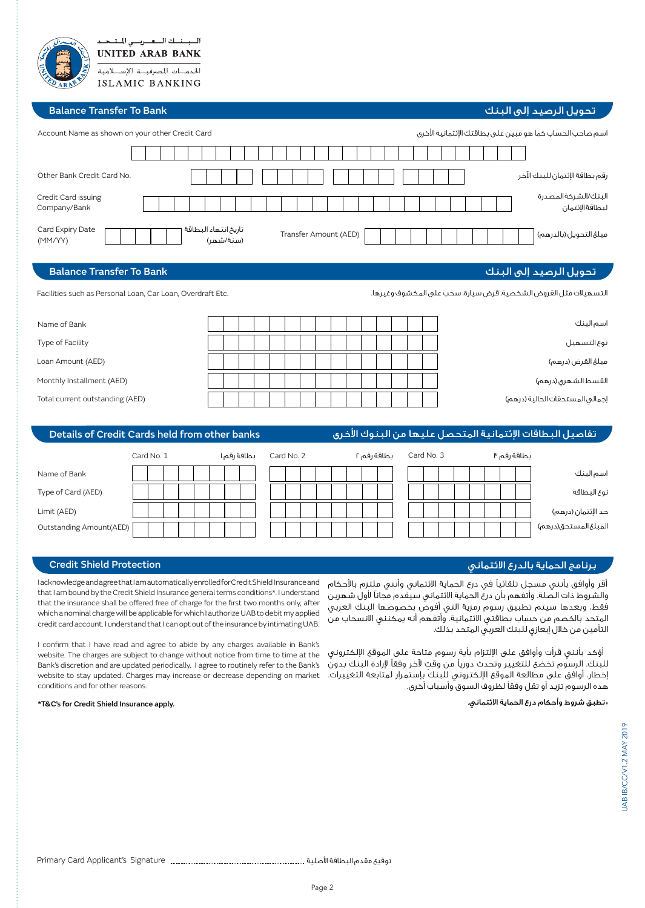#### **Balance Transfer To Bank**

السبسنسك السعسريسي المستبحد **UNITED ARAB BANK** الخدمسات المصرفيسة الإسسلام **ISLAMIC BANKING** 

|                                                                                                                                | اسم صاحب الحساب كما هو مبين على بطاقتك الإئتمانية الأخرى<br>Account Name as shown on your other Credit Card |            |  |  |  |  |                                   |  |  |                       |  |  |  |             |            |                     |  |  |  |  |             |  |  |                                         |  |
|--------------------------------------------------------------------------------------------------------------------------------|-------------------------------------------------------------------------------------------------------------|------------|--|--|--|--|-----------------------------------|--|--|-----------------------|--|--|--|-------------|------------|---------------------|--|--|--|--|-------------|--|--|-----------------------------------------|--|
|                                                                                                                                |                                                                                                             |            |  |  |  |  |                                   |  |  |                       |  |  |  |             |            |                     |  |  |  |  |             |  |  |                                         |  |
| Other Bank Credit Card No.                                                                                                     |                                                                                                             |            |  |  |  |  |                                   |  |  |                       |  |  |  |             |            |                     |  |  |  |  |             |  |  | رقم بطاقة الإئتمان للبنك الآخر          |  |
| Credit Card issuing<br>Company/Bank                                                                                            |                                                                                                             |            |  |  |  |  |                                   |  |  |                       |  |  |  |             |            |                     |  |  |  |  |             |  |  | البنك/الشركة المصدرة<br>لبطاقة الإئتمان |  |
| Card Expiry Date<br>(MM/YY)                                                                                                    |                                                                                                             |            |  |  |  |  | تاريخ انتهاء البطاقة<br>(سنة/شهر) |  |  | Transfer Amount (AED) |  |  |  |             |            |                     |  |  |  |  |             |  |  | مبلغ التحويل (بالدرهم)                  |  |
| <b>Balance Transfer To Bank</b>                                                                                                |                                                                                                             |            |  |  |  |  |                                   |  |  |                       |  |  |  |             |            |                     |  |  |  |  |             |  |  | تحويل الرصيد إلى البنك                  |  |
| التسهيلات مثل القروض الشخصية، قرض سيارة، سحب على المكشوف وغيرها.<br>Facilities such as Personal Loan, Car Loan, Overdraft Etc. |                                                                                                             |            |  |  |  |  |                                   |  |  |                       |  |  |  |             |            |                     |  |  |  |  |             |  |  |                                         |  |
| Name of Bank                                                                                                                   |                                                                                                             |            |  |  |  |  |                                   |  |  |                       |  |  |  |             |            |                     |  |  |  |  |             |  |  | اسم البنك                               |  |
| Type of Facility                                                                                                               |                                                                                                             |            |  |  |  |  |                                   |  |  |                       |  |  |  |             |            | نوع التسهيل         |  |  |  |  |             |  |  |                                         |  |
| Loan Amount (AED)                                                                                                              |                                                                                                             |            |  |  |  |  |                                   |  |  |                       |  |  |  |             |            | مبلغ القرض (درهم)   |  |  |  |  |             |  |  |                                         |  |
| Monthly Installment (AED)                                                                                                      |                                                                                                             |            |  |  |  |  |                                   |  |  |                       |  |  |  |             |            | القسط الشهرى (درهم) |  |  |  |  |             |  |  |                                         |  |
| Total current outstanding (AED)                                                                                                |                                                                                                             |            |  |  |  |  |                                   |  |  |                       |  |  |  |             |            |                     |  |  |  |  |             |  |  | إجمالى المستحقات الحالية (درهم)         |  |
| تفاصيل البطاقات الإئتمانية المتحصل عليها من البنوك الأخرى<br>Details of Credit Cards held from other banks                     |                                                                                                             |            |  |  |  |  |                                   |  |  |                       |  |  |  |             |            |                     |  |  |  |  |             |  |  |                                         |  |
|                                                                                                                                |                                                                                                             | Card No. 1 |  |  |  |  | بطاقة رقم ا                       |  |  | Card No. 2            |  |  |  | بطاقة رقم ٢ | Card No. 3 |                     |  |  |  |  | بطاقة رقم ٣ |  |  |                                         |  |
| Name of Bank                                                                                                                   |                                                                                                             |            |  |  |  |  |                                   |  |  |                       |  |  |  |             |            |                     |  |  |  |  |             |  |  | اسم البنك                               |  |
| Type of Card (AED)                                                                                                             |                                                                                                             |            |  |  |  |  |                                   |  |  |                       |  |  |  |             |            |                     |  |  |  |  |             |  |  | نوع البطاقة                             |  |
| Limit (AED)                                                                                                                    |                                                                                                             |            |  |  |  |  |                                   |  |  |                       |  |  |  |             |            |                     |  |  |  |  |             |  |  | حد الإئتمان (درهم)                      |  |

### برنامج الحماية بالدرع االئتماني Protection Shield Credit

المبلغ المستحق(درهم)

تحويل الرصيد إلى البنك

 أقر وأوافق بأنني مسجل تلقائيًا في درع الحماية االئتماني وأنني ملتزم باألحكام والشروط ذات الصلة. وأتفهم بأن درع الحماية االئتماني سيقدم مجانًا ألول شهرين فقط، وبعدها سيتم تطبيق رسوم رمزية التي أفوض بخصوصها البنك العربي المتحد بالخصم من حساب بطاقتي االئتمانية. وأتفهم أنه يمكنني االنسحاب من التأمين من خالل إيعازي للبنك العربي المتحد بذلك.

 أؤكد بأنني قرأت وأوافق على اإللتزام بأية رسوم متاحة على الموقع اإللكتروني ٍ للبنك. الرسوم تخضع للتغيير وتحدث دوريًا من وقت آلخر وفقًا إلرادة البنك بدون إخطار. أوافق على مطالعة الموقع اإللكتروني للبنك بإستمرار لمتابعة التغييرات. هده الرسوم تزيد أو تقل وفقًا لظروف السوق وأسباب أخرى.

#### \*تطبق شروط وأحكام درع الحماية االئتماني. .apply Insurance Shield Credit for s'C&T\*

conditions and for other reasons.

Outstanding Amount (AED)

Ţ

Ţ

Iacknowledge and agree that I am automatically enrolled for Credit Shield Insurance and that I am bound by the Credit Shield Insurance general terms conditions\*. I understand that the insurance shall be offered free of charge for the first two months only, after which a nominal charge will be applicable for which I authorize UAB to debit my applied credit card account. I understand that I can opt out of the insurance by intimating UAB. I confirm that I have read and agree to abide by any charges available in Bank's website. The charges are subject to change without notice from time to time at the Bank's discretion and are updated periodically. I agree to routinely refer to the Bank's website to stay updated. Charges may increase or decrease depending on market